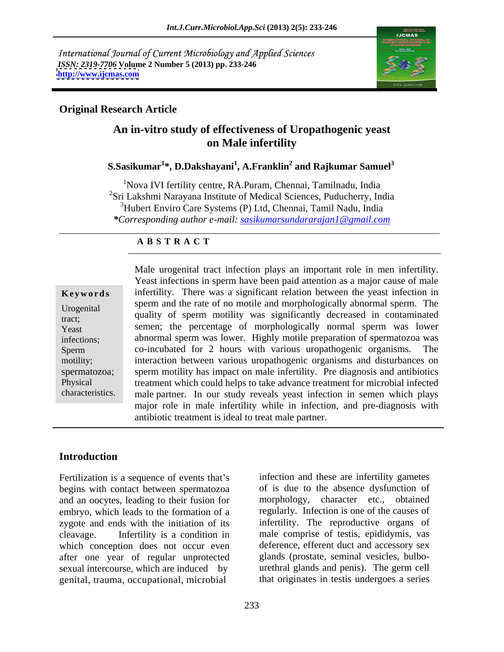International Journal of Current Microbiology and Applied Sciences *ISSN: 2319-7706* **Volume 2 Number 5 (2013) pp. 233-246 <http://www.ijcmas.com>**



## **Original Research Article**

# **An in-vitro study of effectiveness of Uropathogenic yeast on Male infertility**

## **S.Sasikumar<sup>1</sup> \*, D.Dakshayani<sup>1</sup> , A.Franklin2 and Rajkumar Samuel<sup>3</sup>**

1Nova IVI fertility centre, RA.Puram, Chennai, Tamilnadu, India  $2$ Sri Lakshmi Narayana Institute of Medical Sciences, Puducherry, India <sup>3</sup>Hubert Enviro Care Systems (P) Ltd, Chennai, Tamil Nadu, India *\*Corresponding author e-mail: sasikumarsundararajan1@gmail.com*

## **A B S T R A C T**

**Keywords** infertility. There was a significant relation between the yeast infection in Urogenital specificance of the non-non-term interpreted properties and the specific specific specific specific tract; quality of sperm motility was significantly decreased in contaminated Yeast semen; the percentage of morphologically normal sperm was lower infections; abnormal sperm was lower. Highly motile preparation of spermatozoa was Sperm co-incubated for 2 hours with various uropathogenic organisms. The motility; interaction between various uropathogenic organisms and disturbances on spermatozoa; sperm motility has impact on male infertility. Pre diagnosis and antibiotics Physical treatment which could helps to take advance treatment for microbial infected characteristics. male partner. In our study reveals yeast infection in semen which plays Male urogenital tract infection plays an important role in men infertility. Yeast infections in sperm have been paid attention as a major cause of male sperm and the rate of no motile and morphologically abnormal sperm. The major role in male infertility while in infection, and pre-diagnosis with antibiotic treatment is ideal to treat male partner.

## **Introduction**

Fertilization is a sequence of events that's begins with contact between spermatozoa and an oocytes, leading to their fusion for embryo, which leads to the formation of a zygote and ends with the initiation of its cleavage. Infertility is a condition in male comprise of testis, epididymis, vas which conception does not occur even after one year of regular unprotected sexual intercourse, which are induced by genital, trauma, occupational, microbial

infection and these are infertility gametes of is due to the absence dysfunction of morphology, character etc., obtained regularly. Infection is one of the causes of infertility. The reproductive organs of deference, efferent duct and accessory sex glands (prostate, seminal vesicles, bulbo urethral glands and penis). The germ cell that originates in testis undergoes a series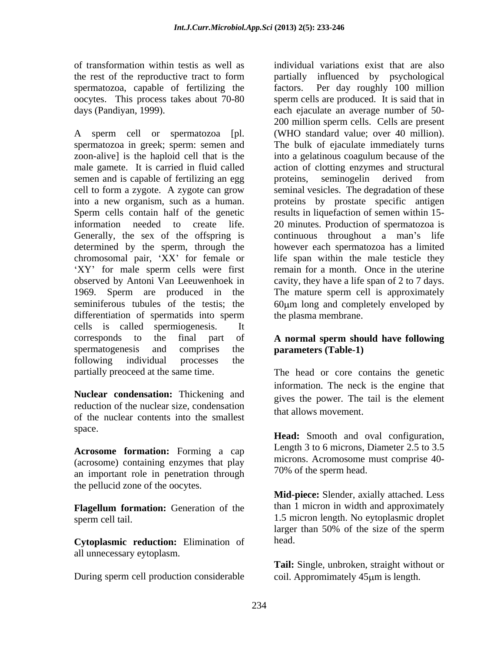of transformation within testis as well as individual variations exist that are also spermatozoa, capable of fertilizing the factors.

A sperm cell or spermatozoa [pl. spermatozoa in greek; sperm: semen and The bulk of ejaculate immediately turns zoon-alive] is the haploid cell that is the male gamete. It is carried in fluid called action of clotting enzymes and structural semen and is capable of fertilizing an egg proteins, seminogelin derived from cell to form a zygote. A zygote can grow seminal vesicles. The degradation of these into a new organism, such as a human. proteins by prostate specific antigen Sperm cells contain half of the genetic results in liquefaction of semen within 15information needed to create life. 20 minutes. Production of spermatozoa is Generally, the sex of the offspring is continuous throughout a man's life determined by the sperm, through the chromosomal pair, XX for female or life span within the male testicle they observed by Antoni Van Leeuwenhoek in cavity, they have a life span of 2 to 7 days. 1969. Sperm are produced in the The mature sperm cell is approximately seminiferous tubules of the testis; the 60μm long and completely enveloped by differentiation of spermatids into sperm cells is called spermiogenesis. It corresponds to the final part of **A normal sperm should have following** spermatogenesis and comprises the **parameters (Table-1)** following individual processes the

**Nuclear condensation:** Thickening and reduction of the nuclear size, condensation of the nuclear contents into the smallest space.

(acrosome) containing enzymes that play an important role in penetration through the pellucid zone of the oocytes.

**Cytoplasmic reduction:** Elimination of all unnecessary eytoplasm.

During sperm cell production considerable

the rest of the reproductive tract to form partially influenced by psychological oocytes. This process takes about 70-80 sperm cells are produced. It is said that in days (Pandiyan, 1999). each ejaculate an average number of 50- XY' for male sperm cells were first remain for a month. Once in the uterine Per day roughly 100 million 200 million sperm cells. Cells are present (WHO standard value; over 40 million). into a gelatinous coagulum because of the proteins, seminogelin derived from however each spermatozoa has a limited the plasma membrane.

# **parameters (Table-1)**

partially preoceed at the same time. The head or core contains the genetic information. The neck is the engine that gives the power. The tail is the element that allows movement.

**Acrosome formation:** Forming a cap Length 3 to 6 microns, Diameter 2.5 to 3.5 **Head:** Smooth and oval configuration, Length <sup>3</sup> to <sup>6</sup> microns, Diameter 2.5 to 3.5 microns. Acromosome must comprise 40- 70% of the sperm head.

**Flagellum formation:** Generation of the sperm cell tail. 1.5 micron length. No eytoplasmic droplet **Mid-piece:** Slender, axially attached. Less than 1 micron in width and approximately larger than 50% of the size of the sperm head. **head.** 

> **Tail:** Single, unbroken, straight without or coil. Appromimately  $45 \mu m$  is length.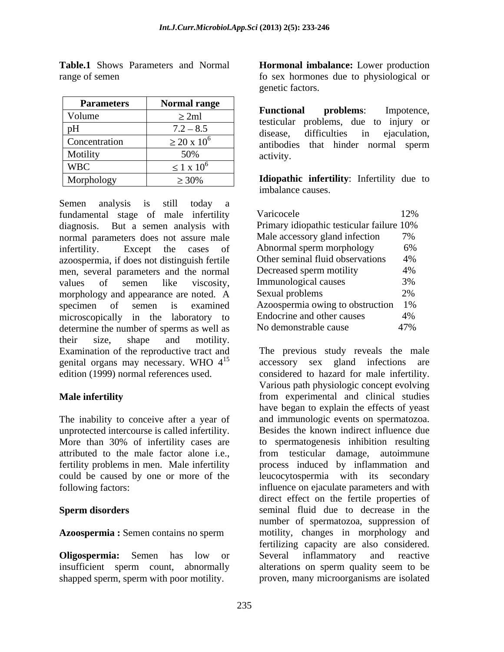| <b>Parameters</b> | Normal range          |                                                                                          |
|-------------------|-----------------------|------------------------------------------------------------------------------------------|
| Volume            | ≥ 2ml                 | <b>Functional</b><br>problems:<br>Impotence,<br>problems, due to injury or<br>testicular |
| pH                | $7.2 - 8.5$           | difficulties<br>ejaculation,<br>disease,<br>in                                           |
| Concentration     | $\geq 20 \times 10^6$ | antibodies<br>hinder normal<br>that<br>sperm                                             |
| Motility          | 50%                   | activity.                                                                                |
| <b>WBC</b>        | $\leq 1 \times 10^6$  |                                                                                          |
| Morphology        | $\geq 30\%$           | Idiopathic infertility: Infertility due to                                               |

mbalance causes.<br>Semen analysis is still today a fundamental stage of male infertility diagnosis. But a semen analysis with normal parameters does not assure male infertility. Except the cases of Abnormal sperm morphology 6% azoospermia, if does not distinguish fertile men, several parameters and the normal values of semen like viscosity, Immunological causes 3%<br>morphology and appearance are noted. A Sexual problems 2% specimen of semen is examined Azoospermia owing to obstruction 1% microscopically in the laboratory to determine the number of sperms as well as their size, shape and motility. Examination of the reproductive tract and The previous study reveals the male genital organs may necessary. WHO  $4^{15}$  accessory sex gland infections are edition (1999) normal references used. considered to hazard for male infertility. edition (1999) normal references used. considered to hazard for male infertility.

unprotected intercourse is called infertility.

insufficient sperm count, abnormally alterations on sperm quality seem to be shapped sperm, sperm with poor motility.

**Table.1** Shows Parameters and Normal **Hormonal imbalance:** Lower production range of semen fo sex hormones due to physiological or genetic factors.

**Functional problems**: Impotence,  $\begin{array}{c|c}\n\hline\n\text{Volume} & \geq 2 \text{ml} \\
\hline\n\end{array}$  **runctional** problems. Impounded, disease, difficulties in ejaculation, antibodies that hinder normal sperm activity.  $pH$  7.2 - 8.5  $\frac{1}{2}$  disease difficulties in eigenlation disease, difficulties in ejaculation,<br>antibodies that hinder normal sperm Motility 50% activity.

> **Idiopathic infertility**: Infertility due to imbalance causes.

| Varicocele                                | 1/4 |
|-------------------------------------------|-----|
| Primary idiopathic testicular failure 10% |     |
| Male accessory gland infection 7%         |     |
| Abnormal sperm morphology 6%              |     |
| Other seminal fluid observations 4%       |     |
| Decreased sperm motility                  | 4%  |
| Immunological causes                      |     |
| Sexual problems                           |     |
| Azoospermia owing to obstruction 1%       |     |
| Endocrine and other causes                | 4%  |
| No demonstrable cause                     | 47% |

15 accessory sex gland infections are **Male infertility** from experimental and clinical studies The inability to conceive after a year of and immunologic events on spermatozoa. More than 30% of infertility cases are to spermatogenesis inhibition resulting attributed to the male factor alone i.e., from testicular damage, autoimmune fertility problems in men. Male infertility process induced by inflammation and could be caused by one or more of the leucocytospermia with its secondary following factors: influence on ejaculate parameters and with **Sperm disorders Sperm disorders seminal fluid due to decrease in the Azoospermia :** Semen contains no sperm motility, changes in morphology and **Oligospermia:** Semen has low or Various path physiologic concept evolving have began to explain the effects of yeast Besides the known indirect influence due to spermatogenesis inhibition resulting direct effect on the fertile properties of number of spermatozoa, suppression of fertilizing capacity are also considered. Several inflammatory and reactive alterations on sperm quality seem to be proven, many microorganisms are isolated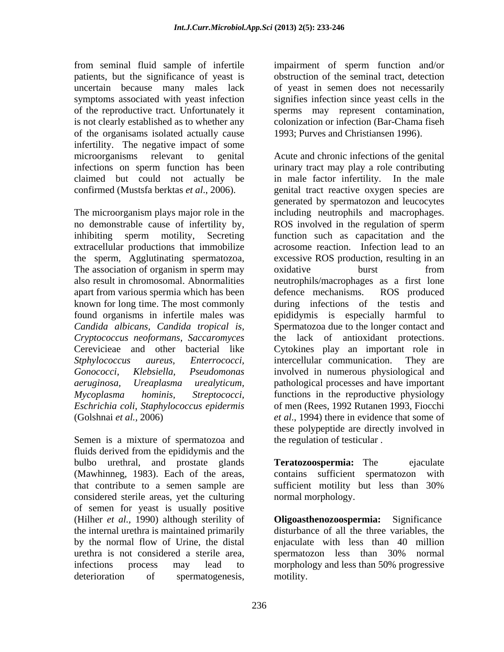from seminal fluid sample of infertile impairment of sperm function and/or patients, but the significance of yeast is uncertain because many males lack of yeast in semen does not necessarily symptoms associated with yeast infection signifies infection since yeast cells in the of the reproductive tract. Unfortunately it sperms may represent contamination, is not clearly established as to whether any of the organisams isolated actually cause infertility. The negative impact of some

The microorganism plays major role in the extracellular productions that immobilize The association of organism in sperm may oxidative burst burst from apart from various spermia which has been defence mechanisms. ROS produced *Stphylococcus aureus, Enterrococci, Eschrichia coli, Staphylococcus epidermis*

Semen is a mixture of spermatozoa and fluids derived from the epididymis and the bulbo urethral, and prostate glands **Teratozoospermia:** The ejaculate (Mawhinneg, 1983). Each of the areas, that contribute to a semen sample are sufficient motility but less than 30% considered sterile areas, yet the culturing of semen for yeast is usually positive (Hilher *et al.,* 1990) although sterility of the internal urethra is maintained primarily by the normal flow of Urine, the distal enjaculate with less than 40 million urethra is not considered a sterile area, infections process may lead to morphology and less than 50% progressive deterioration of spermatogenesis, motility.

obstruction of the seminal tract, detection colonization or infection (Bar-Chama fiseh 1993; Purves and Christiansen 1996).

microorganisms relevant to genital Acute and chronic infections of the genital infections on sperm function has been urinary tract may play a role contributing claimed but could not actually be in male factor infertility. In the male confirmed (Mustsfa berktas *et al*., 2006). genital tract reactive oxygen species are no demonstrable cause of infertility by, ROS involved in the regulation of sperm inhibiting sperm motility, Secreting function such as capacitation and the the sperm, Agglutinating spermatozoa, excessive ROS production, resulting in an also result in chromosomal. Abnormalities neutrophils/macrophages as a first lone known for long time. The most commonly during infections of the testis and found organisms in infertile males was epididymis is especially harmful to *Candida albicans, Candida tropical is,* Spermatozoa due to the longer contact and *Cryptococcus neoformans, Saccaromyces* the lack of antioxidant protections. Cerevicieae and other bacterial like Cytokines play an important role in *Gonococci, Klebsiella, Pseudomonas* involved in numerous physiological and *aeruginosa, Ureaplasma urealyticum,* pathological processes and have important *Mycoplasma hominis, Streptococci,* functions in the reproductive physiology (Golshnai *et al.,* 2006) *et al*., 1994) there in evidence that some of generated by spermatozon and leucocytes including neutrophils and macrophages. acrosome reaction. Infection lead to an oxidative burst from defence mechanisms. ROS produced intercellular communication. They are of men (Rees, 1992 Rutanen 1993, Fiocchi these polypeptide are directly involved in the regulation of testicular .

> **Teratozoospermia:** The ejaculate contains sufficient spermatozon sufficient motility but less than 30% normal morphology.

**Oligoasthenozoospermia:** disturbance of all the three variables, the spermatozon less than 30% normal motility.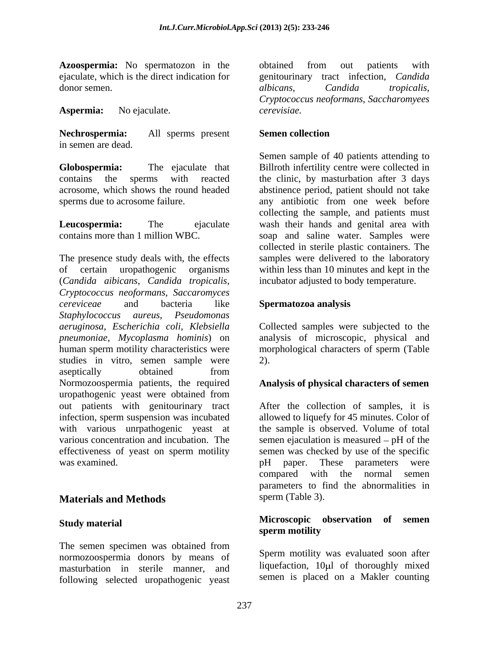**Azoospermia:** No spermatozon in the obtained from out patients with ejaculate, which is the direct indication for eenitourinary tract infection. *Candida* 

**Nechrospermia:** All sperms present in semen are dead.

**Globospermia:** The ejaculate that Billroth infertility centre were collected in contains the sperms with reacted the clinic, by masturbation after 3 days acrosome, which shows the round headed abstinence period, patient should not take

The presence study deals with, the effects of certain uropathogenic organisms within less than 10 minutes and kept in the (*Candida aibicans, Candida tropicalis, Cryptococcus neoformans, Saccaromyces cereviceae* and bacteria like *Staphylococcus aureus, Pseudomonas aeruginosa, Escherichia coli, Klebsiella* Collected samples were subjected to the *pneumoniae, Mycoplasma hominis*) on human sperm motility characteristics were morphological characters of sperm (Table studies in vitro, semen sample were 2). aseptically obtained from the set of the set of the set of the set of the set of the set of the set of the set o Normozoospermia patients, the required uropathogenic yeast were obtained from out patients with genitourinary tract infection, sperm suspension was incubated allowed to liquefy for 45 minutes. Color of with various unrpathogenic yeast at the sample is observed. Volume of total various concentration and incubation. The semen ejaculation is measured – pH of the effectiveness of yeast on sperm motility semen was checked by use of the specific was examined. These parameters were parameters were

# **Materials and Methods**

The semen specimen was obtained from normozoospermia donors by means of masturbation in sterile manner, and following selected uropathogenic yeast

ejaculate, which is the direct indication for genitourinary tract infection,*Candida*  donor semen. The same series albicans, albicans, candida tropicalis, **Aspermia:** No ejaculate. obtained from out patients with *albicans, Candida tropicalis, Cryptococcus neoformans, Saccharomyees cerevisiae.*

## **Semen collection**

sperms due to acrosome failure. any antibiotic from one week before **Leucospermia:** The ejaculate wash their hands and genital area with contains more than 1 million WBC. soap and saline water. Samples were Semen sample of 40 patients attending to collecting the sample, and patients must collected in sterile plastic containers. The samples were delivered to the laboratory incubator adjusted to body temperature.

## **Spermatozoa analysis**

analysis of microscopic, physical and 2).

## **Analysis of physical characters of semen**

After the collection of samples, it is pH paper. These parameters were compared with the normal semen parameters to find the abnormalities in sperm (Table 3).

## **Study material Study material Study material sperm motility** sperm motility **Microscopic observation of semen sperm motility**

Sperm motility was evaluated soon after liquefaction,  $10\mu l$  of thoroughly mixed semen is placed on a Makler counting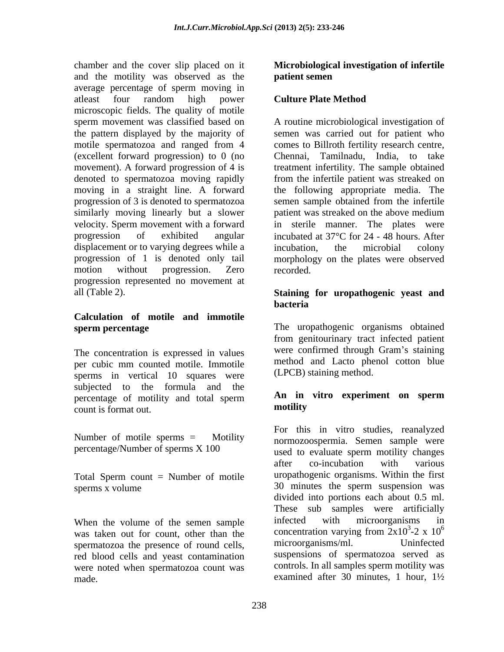chamber and the cover slip placed on it **Microbiological investigation of infertile** and the motility was observed as the **patient semen** average percentage of sperm moving in atleast four random high power **Culture Plate Method** microscopic fields. The quality of motile motile spermatozoa and ranged from 4 comes to Billroth fertility research centre, (excellent forward progression) to 0 (no movement). A forward progression of 4 is moving in a straight line. A forward progression of 3 is denoted to spermatozoa semen sample obtained from the infertile similarly moving linearly but a slower patient was streaked on the above medium similarly moving linearly but a slower displacement or to varying degrees while a incubation, the microbial colony motion without progression. Zero recorded. progression represented no movement at

# **Calculation of motile and immotile**

per cubic mm counted motile. Immotile sperms in vertical 10 squares were subjected to the formula and the<br>parcentage of motility and total sperm and  $\bf{An}$  in vitro experiment on sperm percentage of motility and total sperm **An In**<br>count is format out **motility** count is format out.

percentage/Number of sperms X 100

Total Sperm count  $=$  Number of motile

was taken out for count, other than the concentration varying from  $2x10^{\circ}-2 \times 10^{\circ}$ <br>spermatozoa the presence of round cells microorganisms/ml. Uninfected spermatozoa the presence of round cells, red blood cells and yeast contamination were noted when spermatozoa count was made. examined after 30 minutes, 1 hour, 1½

# **patient semen**

## **Culture Plate Method**

sperm movement was classified based on A routine microbiological investigation of the pattern displayed by the majority of semen was carried out for patient who denoted to spermatozoa moving rapidly from the infertile patient was streaked on velocity. Sperm movement with a forward in sterile manner. The plates were progression of exhibited angular incubated at 37<sup>o</sup>C for 24 - 48 hours. After progression of 1 is denoted only tail morphology on the plates were observed comes to Billroth fertility research centre, Chennai, Tamilnadu, India, to take treatment infertility. The sample obtained the following appropriate media. The semen sample obtained from the infertile patient was streaked on the above medium incubation, the microbial colony recorded.

## all (Table 2). **Staining for uropathogenic yeast and bacteria**

**sperm percentage** The uropathogenic organisms obtained The concentration is expressed in values were confirmed through Gram's staining from genitourinary tract infected patient were confirmed through Gram's staining method and Lacto phenol cotton blue (LPCB) staining method.

## **An in vitro experiment on sperm motility**

Number of motile sperms  $=$  Motility normozoospermia. Semen sample were sperms x volume 30 minutes the sperm suspension was When the volume of the semen sample infected with microorganisms in For this in vitro studies, reanalyzed used to evaluate sperm motility changes after co-incubation with various uropathogenic organisms. Within the first divided into portions each about 0.5 ml. These sub samples were artificially infected with microorganisms in concentration varying from  $2x10^3$ -2 x 10<sup>6</sup>  $3 \times 10^6$  $-2 \times 10^6$ microorganisms/ml. Uninfected suspensions of spermatozoa served as controls. In all samples sperm motility was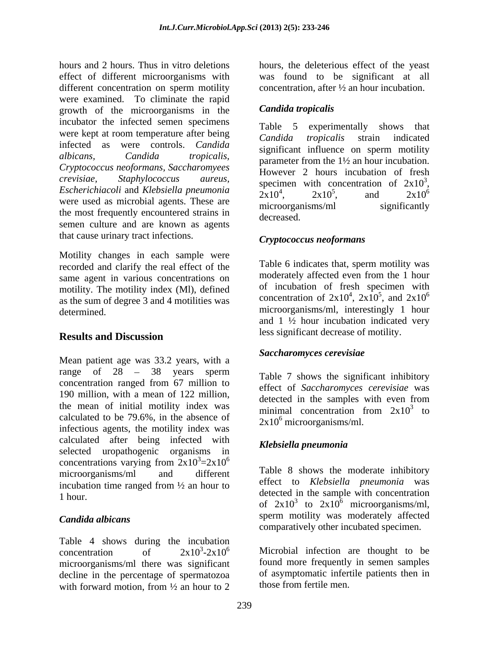hours and 2 hours. Thus in vitro deletions hours, the deleterious effect of the yeast effect of different microorganisms with was found to be significant at all different concentration on sperm motility were examined. To climinate the rapid<br>
growth of the microorganisms in the **Candida tropicalis** growth of the microorganisms in the incubator the infected semen specimens<br>
Table 5 experimentally shows that were kept at room temperature after being<br>
candida tropicalis strain indicated infected as were controls. *Candida albicans, Candida tropicalis,*  parameter from the 1½ an hour incubation. *Cryptococcus neoformans, Saccharomyees crevisiae, Staphylococcus aureus,* specimen with concentration of  $2x10^3$ , *Escherichiacoli and Klebsiella pneumonia*  $\frac{3p}{2x10^4}$ ,  $\frac{2x10^5}{2x10^5}$ , and  $\frac{2x10^6}{2x10^6}$ were used as microbial agents. These are microorganisms/ml significantly the most frequently encountered strains in decreased. semen culture and are known as agents that cause urinary tract infections.

Motility changes in each sample were recorded and clarify the real effect of the same agent in various concentrations on motility. The motility index (Ml), defined as the sum of degree 3 and 4 motilities was

## **Results and Discussion Results and Discussion**

Mean patient age was 33.2 years, with a range of  $28 - 38$  years sperm concentration ranged from 67 million to 190 million, with a mean of 122 million,<br>detected in the samples with even from the mean of initial motility index was calculated to be 79.6%, in the absence of infectious agents, the motility index was calculated after being infected with Klebsiella pneumonia selected uropathogenic organisms in concentrations varying from  $2x10^3 = 2x10^6$ microorganisms/ml and different and  $\frac{1}{2}$  and  $\frac{1}{2}$  and  $\frac{1}{2}$  and  $\frac{1}{2}$  and  $\frac{1}{2}$  and  $\frac{1}{2}$  and  $\frac{1}{2}$  and  $\frac{1}{2}$  and  $\frac{1}{2}$  and  $\frac{1}{2}$  and  $\frac{1}{2}$  and  $\frac{1}{2}$  and  $\frac{1}{2}$  and  $\frac{$ incubation time ranged from ½ an hour to

Table 4 shows during the incubation concentration of  $2x10^3-2x10^6$  Microbial infection are thought to be microorganisms/ml there was significant decline in the percentage of spermatozoa with forward motion, from  $\frac{1}{2}$  an hour to 2 those from fertile men.

concentration, after ½ an hour incubation.

## *Candida tropicalis*

Table 5 experimentally *Candida tropicalis* strain indicated significant influence on sperm motility However 2 hours incubation of fresh 3 specimen with concentration of  $2x10^3$ ,<br> $2x10^4$ ,  $2x10^5$ , and  $2x10^6$  $2x10^5$ , and  $2x10^6$ 5 and  $2v10^6$  $, \qquad \text{and} \qquad 2x10^6$ 6 microorganisms/ml significantly decreased.

## *Cryptococcus neoformans*

determined. microorganisms/ml, interestingly 1 hour Table 6 indicates that, sperm motility was moderately affected even from the 1 hour of incubation of fresh specimen with concentration of  $2x10^4$ ,  $2x10^5$ , and  $2x10^6$  $^{4}$   $2x10^{5}$  and  $2x10^{6}$ ,  $2x10^5$ , and  $2x10^6$  $5$  and  $2x10^6$ , and  $2x10^6$ 6 and 1 ½ hour incubation indicated very less significant decrease of motility.

# *Saccharomyces cerevisiae*

Table 7 shows the significant inhibitory effect of *Saccharomyces cerevisiae* was detected in the samples with even from minimal concentration from  $2x10^3$  to  $3 \text{ to }$ to  $2x10^6$  microorganisms/ml.

# *Klebsiella pneumonia*

 $\frac{3}{2}$  = 2x10<sup>6</sup>  $\frac{1 \text{ hour}}{1 \text{ hour}}$  hour. *Candida albicans* sperm motility was moderately affected Table 8 shows the moderate inhibitory effect to *Klebsiella pneumonia* was of  $2x10^3$  to  $2x10^6$  microorganisms/ml, comparatively other incubated specimen.

> found more frequently in semen samples of asymptomatic infertile patients then in those from fertile men.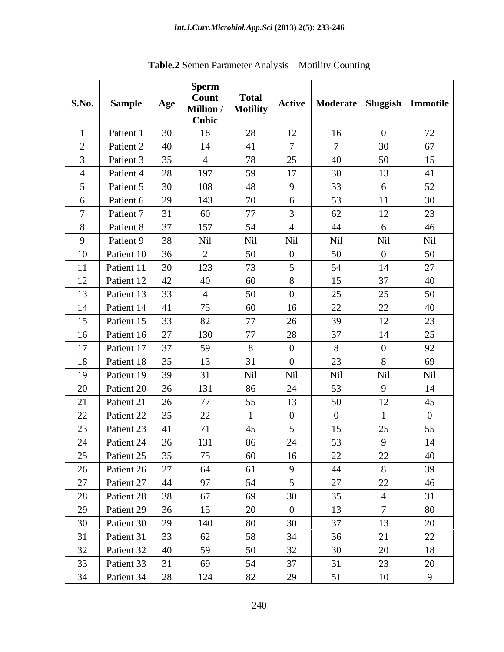| <b>S.No.</b> | Sample     | Age | <b>Sperm</b><br>Count<br><b>Million</b><br>Cubic | <b>Total</b><br><b>Motility</b> |                 | Active   Moderate   Sluggish   Immotile |                |                |
|--------------|------------|-----|--------------------------------------------------|---------------------------------|-----------------|-----------------------------------------|----------------|----------------|
|              | Patient    | 30  | 18                                               | 28                              | 12              | 16                                      | $\overline{0}$ | 72             |
| $\bigcap$    | Patient 2  | 40  | 14                                               | 41                              | $\overline{7}$  | $\mathbf{\tau}$                         | 30             | 67             |
|              | Patient 3  | 35  | $\overline{4}$                                   | 78                              | 25              | 40                                      | 50             | 15             |
|              | Patient 4  | 28  | 197                                              | 59                              | 17              | 30                                      | 13             | 41             |
|              | Patient 5  | 30  | 108                                              | 48                              | 9               | 33                                      | 6              | 52             |
| -6           | Patient 6  | 29  | 143                                              | 70                              | 6               | 53                                      | <sup>11</sup>  | 30             |
|              | Patient 7  | 31  | 60                                               | 77                              | $\mathfrak{Z}$  | 62                                      | 12             | 23             |
| 8            | Patient 8  | 37  | 157                                              | 54                              | $\overline{4}$  | 44                                      | 6              | 46             |
|              | Patient 9  | 38  | Nil                                              | Nil                             | Nil             | Nil                                     | Nil            | Nil            |
| 10           | Patient 10 | 36  | 2                                                | 50                              | $\overline{0}$  | 50                                      | $\overline{0}$ | 50             |
|              | Patient 11 | 30  | 123                                              | 73                              | $5\overline{)}$ | 54                                      | 14             | 27             |
| 12           | Patient 12 | 42  | 40                                               | 60                              | 8               | 15                                      | 37             | 40             |
| 13           | Patient 13 | 33  | $\overline{4}$                                   | 50                              | $\overline{0}$  | 25                                      | 25             | 50             |
| 14           | Patient 14 | 41  | 75                                               | 60                              | 16              | 22                                      | 22             | 40             |
| 15           | Patient 15 | 33  | 82                                               | 77                              | 26              | 39                                      | 12             | 23             |
| 16           | Patient 16 | 27  | 130                                              | 77                              | 28              | 37                                      | 14             | 25             |
| 17           | Patient 17 | 37  | 59                                               | 8                               | $\overline{0}$  | 8                                       | $\overline{0}$ | 92             |
| 18           | Patient 18 | 35  | 13                                               | 31                              | $\overline{0}$  | 23                                      | 8              | 69             |
| 19           | Patient 19 | 39  | 31                                               | Nil                             | Nil             | Nil                                     | Nil            | Nil            |
| 20           | Patient 20 | 36  | 131                                              | 86                              | 24              | 53                                      | $\mathbf Q$    | 14             |
| 21           | Patient 21 | 26  | 77                                               | 55                              | 13              | 50                                      | 12             | 45             |
| 22           | Patient 22 | 35  | 22                                               |                                 | $\overline{0}$  | $\Omega$                                |                | $\overline{0}$ |
| 23           | Patient 23 | 41  | 71                                               | 45                              | $5\overline{)}$ | 15                                      | 25             | 55             |
| 24           | Patient 24 | 36  | 131                                              | 86                              | 24              | 53                                      | $\Omega$       | 14             |
| 25           | Patient 25 | 35  | 75                                               | 60                              | 16              | 22                                      | 22             | 40             |
| 26           | Patient 26 | 27  | 64                                               | 61                              | 9               | 44                                      | 8              | 39             |
| 27           | Patient 27 | 44  | 97                                               | 54                              | $5\overline{)}$ | 27                                      | 22             | 46             |
| 28           | Patient 28 | 38  | 67                                               | 69                              | 30              | 35                                      | $\overline{4}$ | 31             |
| 29           | Patient 29 | 36  | 15                                               | 20                              | $\overline{0}$  | 13                                      | $\mathcal{I}$  | 80             |
| 30           | Patient 30 | 29  | 140                                              | 80                              | 30              | 37                                      | 13             | 20             |
| 31           | Patient 31 | 33  | 62                                               | 58                              | 34              | 36                                      | 21             | 22             |
| 32           | Patient 32 | 40  | 59                                               | 50                              | 32              | 30                                      | 20             | 18             |
| 33           | Patient 33 | 31  | 69                                               | 54                              | 37              | 31                                      | 23             | 20             |
| 34           | Patient 34 | 28  | 124                                              | 82                              | 29              | 51                                      | 10             | 9              |

Table.2 Semen Parameter Analysis - Motility Counting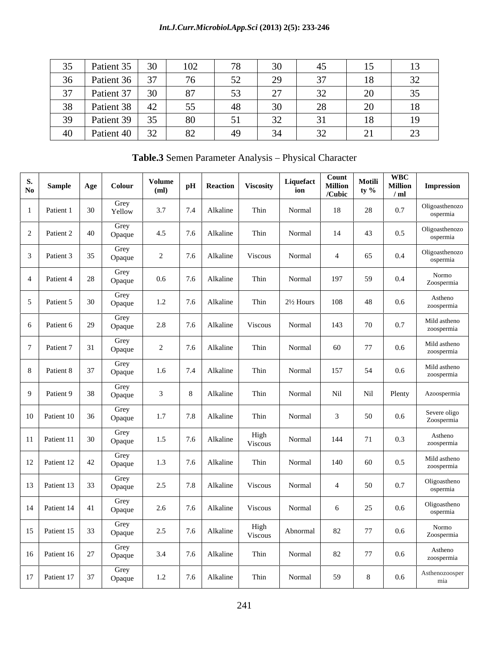## *Int.J.Curr.Microbiol.App.Sci* **(2013) 2(5): 233-246**

| 35 Patient 35   | 30                     | 102           | 78  | 30 <sup>2</sup> |  | $\mathbf{L}$   |
|-----------------|------------------------|---------------|-----|-----------------|--|----------------|
| 36   Patient 36 | 37                     |               | ຼເລ |                 |  | $\Omega$<br>32 |
| 37   Patient 37 | 30                     | 87            | 53  | 27              |  | 35             |
| 38 Patient 38   | $\Delta$               |               | 48  | 30 <sup>2</sup> |  | 18             |
| $39$ Patient 39 | 35 <sup>5</sup>        |               | 51  |                 |  | 19             |
| 40   Patient 40 | 32 <sub>1</sub><br>سەپ | $\mathcal{R}$ | 49  | 34              |  | 23             |

Table.3 Semen Parameter Analysis - Physical Character

| Sample   Age  <br>$\overline{N_0}$                                             | Colour                                                                                         | Volume<br>  pH   Reaction   Viscosity<br>(ml) |                 |                           | Liquefact Count<br>Million Motili WBC<br>ion /Cubic ty % /ml<br><b>Impression</b>         |  |  |  |  |  |
|--------------------------------------------------------------------------------|------------------------------------------------------------------------------------------------|-----------------------------------------------|-----------------|---------------------------|-------------------------------------------------------------------------------------------|--|--|--|--|--|
| Patient 1<br>- 30 F                                                            | Grey<br>Yellow                                                                                 | 3.7<br>7.4 Alkaline                           | Thin            | 18<br>Normal              | Oligoasthenozo<br>0.7<br>ospermia                                                         |  |  |  |  |  |
| Patient 2                                                                      | Grey<br>$140$ Opaque                                                                           | 4.5<br>7.6 Alkaline                           | Thin            | 14<br>Normal              | Oligoasthenozo<br>$\begin{array}{ c c c c c } \hline \end{array}$ 43<br>0.5<br>ospermia   |  |  |  |  |  |
| Patient 3<br>35 I                                                              | Grey<br>Opaque                                                                                 | 7.6 Alkaline Viscous                          |                 | Normal  <br>$\sim$ 4      | Oligoasthenozo<br>65  <br>0.4<br>ospermia                                                 |  |  |  |  |  |
| Patient 4                                                                      | Grey<br>$28$ Opaque                                                                            | 7.6 Alkaline<br>$0.6\,$                       | Thin            | 197<br>Normal             | Normo<br>59<br>$0.4\,$<br>Zoospermia                                                      |  |  |  |  |  |
| Patient 5                                                                      | Grey<br>30 Opaque                                                                              | 1.2<br>7.6 Alkaline                           | Thin            | $2\frac{1}{2}$ Hours      | Astheno<br>108 48<br>$0.6\,$<br>zoospermia                                                |  |  |  |  |  |
| Patient 6                                                                      | Grey<br>$29$ Opaque                                                                            | 2.8<br>7.6 Alkaline                           | Viscous         | 143<br>Normal             | Mild astheno<br>0.7<br>70 L<br>zoospermia                                                 |  |  |  |  |  |
| Patient 7                                                                      | Grey<br>$31$ Opaque                                                                            | 7.6 Alkaline                                  | Thin            | 60<br>Normal              | Mild astheno<br>77 <b>I</b><br>$0.6\,$<br>zoospermia                                      |  |  |  |  |  |
| 8 Patient 8                                                                    | Grey<br>Opaque                                                                                 | 1.6<br>7.4 Alkaline                           | Thin            | 157<br>Normal             | Mild astheno<br>$\frac{1}{54}$ 1<br>$0.6\,$<br>zoospermia                                 |  |  |  |  |  |
| 9 Patient 9                                                                    | Grey<br>$38$ Opaque                                                                            | 8 Alkaline                                    | Thin            | Nil<br>Normal             | Nil Plenty<br>Azoospermia                                                                 |  |  |  |  |  |
| $10$ Patient 10   36   Opaque                                                  | Grey                                                                                           | 1.7<br>7.8 Alkaline                           | Thin            | Normal<br>$\overline{3}$  | Severe oligo<br>50<br>0.6<br>Zoospermia                                                   |  |  |  |  |  |
| $11$ Patient 11   30   Opaque                                                  | Grey                                                                                           | 1.5<br>7.6 Alkaline                           | High<br>Viscous | Normal                    | Astheno<br>$144$ 71<br>0.3<br>zoospermia                                                  |  |  |  |  |  |
| 12 Patient 12<br>42                                                            | Grey<br>Opaque                                                                                 | 1.3<br>7.6 Alkaline                           | Thin            | Normal                    | the control of the control of the<br>Mild astheno<br>140 60<br>0.5<br>zoospermia          |  |  |  |  |  |
| 13 Patient 13                                                                  | Grey<br>33 Opaque                                                                              | 2.5<br>7.8 Alkaline                           | Viscous         | Normal<br>$\sim$ 4        | Oligoastheno<br>ospermia<br>0.7<br>50                                                     |  |  |  |  |  |
| 14 Patient 14                                                                  | Grey<br>$\begin{array}{ c c c c c } \hline \end{array}$ 41   Opaque                            | 7.6 Alkaline<br>2.6                           | <b>Viscous</b>  | Normal<br>$6\overline{6}$ | the control of the control of the control of<br>Oligoastheno<br>25<br>$0.6\,$<br>ospermia |  |  |  |  |  |
| $15$ Patient 15                                                                | Grey<br>$\begin{array}{ c c c c c } \hline \text{I} & 33 & \text{Opaque} \\\hline \end{array}$ | 7.6 Alkaline<br>2.5                           | High<br>Viscous | 82<br>Abnormal            | Normo<br>$\frac{1}{27}$<br>$0.6\,$<br>Zoospermia                                          |  |  |  |  |  |
| 16 Patient 16                                                                  | Grey<br>Opaque                                                                                 | 3.4<br>7.6 Alkaline                           | Thin            | 82<br>Normal              | Astheno<br>77  <br>$0.6\,$<br>zoospermia                                                  |  |  |  |  |  |
| $\begin{array}{ c c c c c c c c } \hline \end{array}$ Patient 17   37   Opaque | Grey                                                                                           | 1.2 7.6 Alkaline                              | Thin            | 59<br>Normal              | Asthenozoosper<br>$0.6\,$<br>8 <sup>1</sup><br>mia                                        |  |  |  |  |  |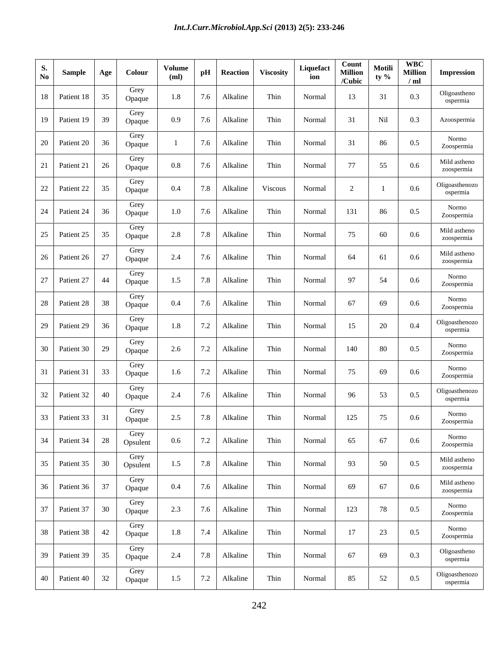| <u>recognized by the contract of the contract of the contract of the contract of the contract of the contract of the contract of the contract of the contract of the contract of the contract of the contract of the contract of</u><br>$\begin{array}{ c c c c c } \hline S. & \text{Sample} & \text{Age} & \text{Colour} & \\\hline \end{array}$ |                                                                                            | $ \cdot $ volume   pH   Reaction   Viscosity                                                        |                |                                   | Liquefact<br>ion | VBC<br>Million Motili Million<br>Villion (Villion / ml                     |         | <b>Impression</b>          |
|----------------------------------------------------------------------------------------------------------------------------------------------------------------------------------------------------------------------------------------------------------------------------------------------------------------------------------------------------|--------------------------------------------------------------------------------------------|-----------------------------------------------------------------------------------------------------|----------------|-----------------------------------|------------------|----------------------------------------------------------------------------|---------|----------------------------|
| $\overline{\phantom{a}}$<br>18   Patient 18   35                                                                                                                                                                                                                                                                                                   | Grey<br>Opaque                                                                             | 1.8 7.6 Alkaline                                                                                    |                | Thin                              | Normal           | 13   31                                                                    | 0.3     | Oligoastheno<br>ospermia   |
| 19   Patient 19   39   Opaque<br><u> The Common Section of the Common Section of the Common Section of the Common Section of the Common Section of</u>                                                                                                                                                                                             | Grey                                                                                       | 0.9 7.6 Alkaline                                                                                    |                | $\mathbf{I}$ Thin $\mathbf{I}$    | Normal           | 31   Nil                                                                   | 0.3     | Azoospermia                |
|                                                                                                                                                                                                                                                                                                                                                    | Grey                                                                                       |                                                                                                     | 7.6 Alkaline   | Thin                              | Normal           | 31   86                                                                    | 0.5     | Normo<br>Zoospermia        |
| $\begin{array}{ c c c c c c c c } \hline \end{array}$ 21   26   Opaque                                                                                                                                                                                                                                                                             | Grey                                                                                       | $0.8\,$                                                                                             | 7.6 Alkaline   | Thin                              | Normal           | 77<br>55                                                                   | 0.6     | Mild astheno<br>zoospermia |
| 22   Patient 22   35   Opaque<br><u> The Common Section of the Common Section of the Common Section of the Common Section of the Common Section of</u>                                                                                                                                                                                             | Grey                                                                                       | 0.4                                                                                                 |                | 7.8   Alkaline   Viscous   Normal |                  | $2 \mid 1 \mid$                                                            | $0.6\,$ | Oligoasthenozo<br>ospermia |
| $\begin{array}{ c c c c c c c c } \hline 24 & \text{Patient 24} & 36 & \text{Opaque} \hline \end{array}$                                                                                                                                                                                                                                           | Grey                                                                                       | 1.0   7.6   Alkaline                                                                                |                | Thin                              | Normal           | 131 86                                                                     | 0.5     | Normo<br>Zoospermia        |
| 25   Patient 25   35<br><u> The Common Section of the Common Section of the Common Section of the Common Section of the Common Section of</u>                                                                                                                                                                                                      | Grey<br>Opaque                                                                             | 2.8 7.8 Alkaline                                                                                    |                | Thin                              | Normal           | 75<br>60                                                                   | 0.6     | Mild astheno<br>zoospermia |
| 26   Patient 26   27   Opaque                                                                                                                                                                                                                                                                                                                      | Grey                                                                                       | 2.4                                                                                                 | 7.6 Alkaline   | Thin                              | Normal           | 64   61                                                                    | $0.6\,$ | Mild astheno<br>zoospermia |
| $\begin{array}{ c c c c c c c c } \hline 27 & \text{Patient } 27 & 44 & \text{Opaque} \hline \end{array}$                                                                                                                                                                                                                                          | Grey                                                                                       | 1.5   7.8   Alkaline                                                                                |                | Thin                              | Normal           | 97 54                                                                      | $0.6\,$ | Normo<br>Zoospermia        |
| 28   Patient 28   38   Opaque                                                                                                                                                                                                                                                                                                                      | Grey                                                                                       | $0.4\,$                                                                                             | 7.6 Alkaline   | Thin                              | Normal           | 67<br>$\begin{array}{ccc} & 69 \end{array}$                                | $0.6\,$ | Normo<br>Zoospermia        |
| $\begin{array}{ c c c c c c } \hline 29 & \text{Patient } 29 & 36 & \text{Opaque} \hline \end{array}$                                                                                                                                                                                                                                              | Grey                                                                                       | 1.8                                                                                                 | 7.2 Alkaline   | Thin                              | Normal           | 15                                                                         | 20 0.4  | Oligoasthenozo<br>ospermia |
| 30   Patient 30   29   Opaque                                                                                                                                                                                                                                                                                                                      | Grey                                                                                       | 2.6 7.2 Alkaline                                                                                    |                | Thin                              | Normal           | 140 80                                                                     | 0.5     | Normo<br>Zoospermia        |
| <u> The Communication of the Communication of the Communication of the Communication of the Communication of the Communication of the Communication of the Communication of the Communication of the Communication of the Commun</u>                                                                                                               | Grey<br>33 Opaque                                                                          | 1.6                                                                                                 | $7.2$ Alkaline | Thin                              | Normal           | 75 69                                                                      | $0.6\,$ | Normo<br>Zoospermia        |
| $\begin{array}{ c c c c c c } \hline \end{array}$ 2   22   40   Opaque                                                                                                                                                                                                                                                                             | Grey                                                                                       | 2.4                                                                                                 | 7.6 Alkaline   | $\frac{1}{2}$ Thin $\frac{1}{2}$  | Normal           | 96   53   0.5                                                              |         | Oligoasthenozo<br>ospermia |
| 33 Patient 33 31 Grey<br>Opaque                                                                                                                                                                                                                                                                                                                    |                                                                                            |                                                                                                     |                |                                   |                  | 2.5 7.8 Alkaline Thin Normal 125 75 0.6                                    |         | Normo<br>Zoospermia        |
| 34 Patient 34 28 Opsulent<br><u> La Carlo de Carlo de Carlo de Carlo de Carlo de Carlo de Carlo de Carlo de Carlo de Carlo de Carlo de Carlo</u>                                                                                                                                                                                                   |                                                                                            | 0.6 7.2 Alkaline                                                                                    |                | Thin                              | Normal           | 65 67                                                                      | $0.6\,$ | Normo<br>Zoospermia        |
| 35   Patient 35   30   Opsulent  <br><u> The Communication of the Communication of the Communication of the Communication of the Communication of the Communication of the Communication of the Communication of the Communication of the Communication of the Commun</u>                                                                          | Grey<br>$\overline{\phantom{a}}$ and $\overline{\phantom{a}}$ and $\overline{\phantom{a}}$ | 1.5   7.8   Alkaline                                                                                |                | Thin                              | Normal           | 93<br>50                                                                   | 0.5     | Mild astheno<br>zoospermia |
| 36 Patient 36 37 Grey<br>Opaque<br><u> The Communication of the Communication of the Communication of the Communication of the Communication of the Communication of the Communication of the Communication of the Communication of the Communication of the Commun</u>                                                                            |                                                                                            | 0.4   7.6   Alkaline                                                                                |                | Thin                              | Normal           | 69 67                                                                      | $0.6\,$ | Mild astheno<br>zoospermia |
| 37 Patient 37 30 Grey<br>Opaque                                                                                                                                                                                                                                                                                                                    |                                                                                            | 2.3 7.6 Alkaline<br>the contract of the contract of the contract of the contract of the contract of |                | Thin                              | Normal           | 123 78                                                                     | 0.5     | Normo<br>Zoospermia        |
| 38 Patient 38 42 Opaque                                                                                                                                                                                                                                                                                                                            |                                                                                            | 1.8   7.4   Alkaline                                                                                |                | Thin                              | Normal           | 17<br>23                                                                   | 0.5     | Normo<br>Zoospermia        |
| 39 Patient 39                                                                                                                                                                                                                                                                                                                                      | Grey<br>Opaque                                                                             | 2.4   7.8   Alkaline                                                                                |                | Thin                              | Normal           | 67<br>$\begin{array}{ c c c c c } \hline \text{69} & \text{1} \end{array}$ | 0.3     | Oligoastheno<br>ospermia   |
| <u> The Common Section of the Common Section of the Common Section of the Common Section of the Common Section of</u><br>$\begin{array}{ c c c c c c } \hline \end{array}$ 40   Patient 40   32   Opaque                                                                                                                                           | Grey                                                                                       | 1.5   7.2   Alkaline                                                                                |                | Thin                              | Normal           | 85<br>52                                                                   | 0.5     | Oligoasthenozo<br>ospermia |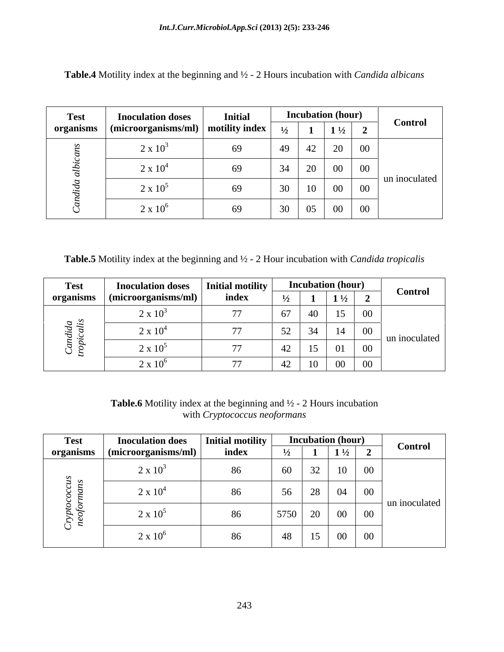| <b>Test</b> | <b>Inoculation doses</b>                                     | Initial |    | <b>Incubation (hour)</b> |                    |                                   |                |
|-------------|--------------------------------------------------------------|---------|----|--------------------------|--------------------|-----------------------------------|----------------|
|             | $\vert$ organisms $\vert$ (microorganisms/ml) motility index |         |    |                          | $1\frac{1}{2}$     |                                   | <b>Control</b> |
|             | $2 \times 10^{-1}$                                           | 69      |    |                          | $\Omega$<br>$\sim$ | $\begin{array}{c} 00 \end{array}$ |                |
|             | $2 \times 10^{\circ}$                                        | 69      |    |                          | $00\,$             | $00\,$                            |                |
|             | $2 \times 10^5$                                              | 69      |    |                          | $00\,$             | $00\,$                            | un inoculated  |
|             | $2 \times 10^{6}$                                            |         | ັບ | $\mathsf{U}\mathsf{L}$   | $00\,$             | $00\,$                            |                |

**Table.4** Motility index at the beginning and ½ - 2 Hours incubation with *Candida albicans*

**Table.5** Motility index at the beginning and ½ - 2 Hour incubation with *Candida tropicalis*

| <b>Test</b>   | <b>Inoculation doses</b>            | Initial matili |                          | <b>Incubation (hour)</b>                                             | <b>Control</b> |  |
|---------------|-------------------------------------|----------------|--------------------------|----------------------------------------------------------------------|----------------|--|
| organisms     | $\vert$ (microorganisms/ml) $\vert$ | index          | 1/2<br>$\overline{ }$    | $\begin{array}{ c c c c }\n\hline\n1 & \frac{1}{2} & 2\n\end{array}$ |                |  |
|               | $2 \times 10^3$                     | $\overline{a}$ |                          | $\Omega$                                                             |                |  |
| id            | $2 \times 10^4$                     | $\overline{a}$ | $\overline{\phantom{a}}$ | $\sim$                                                               | un inoculated  |  |
| $\sim$ $\sim$ | 2 x 10 <sup>°</sup>                 | $\overline{a}$ |                          | - 1 J I                                                              | $00\,$         |  |
|               | $2 \times 10^{\circ}$               | $\overline{a}$ |                          | $00\,$                                                               | $00\,$         |  |

**Table.6** Motility index at the beginning and ½ - 2 Hours incubation with *Cryptococcus neoformans*

| <b>Test</b><br>organisms | <b>Inoculation does</b><br>$\vert$ (microorganisms/ml) $\vert$ | <b>Initial motility</b><br>index | 1/2<br>$\sqrt{2}$ | <b>Incubation</b> (hour)<br>$1 \mid 1\frac{1}{2}$ | $\overline{\phantom{0}}$ | <b>Control</b> |
|--------------------------|----------------------------------------------------------------|----------------------------------|-------------------|---------------------------------------------------|--------------------------|----------------|
|                          | $2 \times 10^3$                                                | 86                               | 60                | $32 \mid 10 \mid 00$                              |                          |                |
|                          | $2 \times 10^4$                                                | 86                               | 56                | 28 04 00                                          |                          |                |
|                          | $2 \times 10^5$                                                | 86                               | 5750              | 20 00 00                                          |                          | un inoculated  |
|                          | $2 \times 10^{6}$                                              | 86                               | 48                | 15 00 00                                          |                          |                |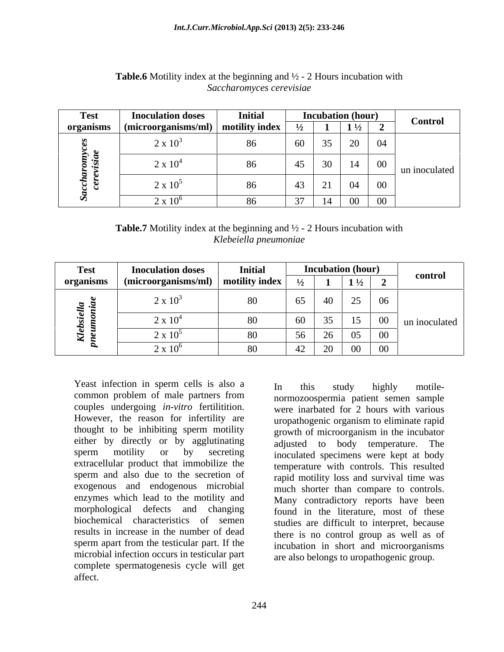| <b>Test</b> | <b>Inoculation doses</b>                                   | <b>Initial</b> |            | <b>Incubation (hour)</b> |                                          |                     |  |
|-------------|------------------------------------------------------------|----------------|------------|--------------------------|------------------------------------------|---------------------|--|
| organisms   | $\vert$ (microorganisms/ml) $\vert$ motility index $\vert$ |                |            |                          | $1\frac{1}{2}$                           | <b>Control</b>      |  |
|             | $2 \times 10^5$                                            | 86             | 60         | $\lnot$<br>ັບ            | $\Omega$ $\Omega$ $\Omega$<br>$\angle U$ | 04                  |  |
|             |                                                            |                |            |                          |                                          |                     |  |
|             | 2 x 10                                                     |                |            |                          | -14                                      | 00<br>un inoculated |  |
|             | 2 x 10                                                     |                |            |                          | -04                                      | $00\,$              |  |
|             | 2 x 10                                                     |                | $\sim$ $-$ |                          | 00 <sup>1</sup>                          | $00\,$              |  |

## **Table.6** Motility index at the beginning and ½ - 2 Hours incubation with *Saccharomyces cerevisiae*

**Table.7** Motility index at the beginning and ½ - 2 Hours incubation with *Klebeiella pneumoniae*

| <b>rest</b> | <b>Inoculation doses</b>                                | <b>Initial</b> |                         | <b>Incubation (hour)</b> |        | control       |
|-------------|---------------------------------------------------------|----------------|-------------------------|--------------------------|--------|---------------|
| organisms   | $\mid$ (microorganisms/ml) $\mid$ motility index $\mid$ |                |                         | $1\frac{1}{2}$ 2         |        |               |
|             | 2 x 10                                                  |                |                         | $\sim$ $\sim$            | 06     |               |
|             |                                                         |                |                         | 15                       | $00\,$ |               |
|             | 2 x 10                                                  |                | <b>OO</b>               | 53                       |        | un inoculated |
|             | $2 \times 10^5$                                         |                | $\sim$<br>$\cup$ $\cup$ | 05<br>$\sim$<br>$\omega$ | $00\,$ |               |
|             | $\sim$ A 10                                             |                | ᠰ᠘                      | $00\,$                   | $00\,$ |               |

Yeast infection in sperm cells is also a  $\frac{1}{2}$  in this study highly motilecouples undergoing *in-vitro* fertilitition. However, the reason for infertility are thought to be inhibiting sperm motility either by directly or by agglutinating adjusted to body temperature. The extracellular product that immobilize the sperm and also due to the secretion of exogenous and endogenous microbial enzymes which lead to the motility and results in increase in the number of dead sperm apart from the testicular part. If the microbial infection occurs in testicular part complete spermatogenesis cycle will get affect.

common problem of male partners from normozoospermia patient semen sample sperm motility or by secreting inoculated specimens were kent at body morphological defects and changing found in the literature, most of these biochemical characteristics of semen studies are difficult to interpret, because In this study highly motile normozoospermia patient semen sample were inarbated for 2 hours with various uropathogenic organism to eliminate rapid growth of microorganism in the incubator adjusted to body temperature. inoculated specimens were kept at body temperature with controls. This resulted rapid motility loss and survival time was much shorter than compare to controls. Many contradictory reports have been there is no control group as well as of incubation in short and microorganisms are also belongs to uropathogenic group.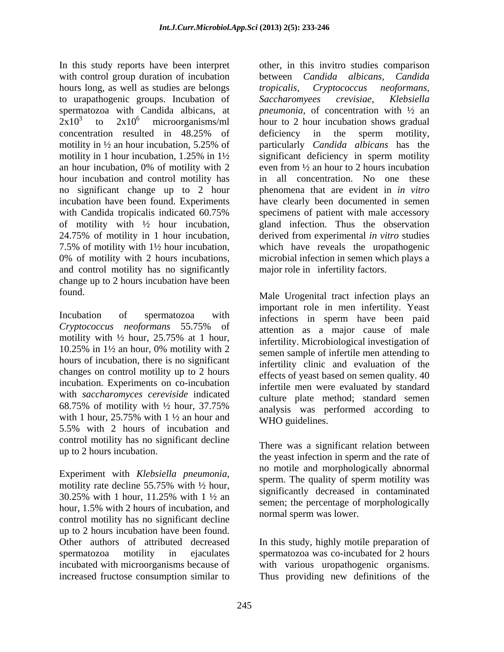In this study reports have been interpret other, in this invitro studies comparison with control group duration of incubation between *Candida albicans*, *Candida* hours long, as well as studies are belongs *tropicalis, Cryptococcus neoformans*, to urapathogenic groups. Incubation of Saccharomyees crevisiae, Klebsiella spermatozoa with Candida albicans, at *pheumonia*, of concentration with  $\frac{1}{2}$  an  $2x10^3$  to  $2x10^6$  microorganisms/ml hour to 2 hour incubation shows gradual  $2x10<sup>3</sup>$  to  $2x10<sup>6</sup>$  microorganisms/ml hour to 2 hour incubation shows gradual concentration resulted in 48.25% of motility in 1/2 an hour incubation, 5.25% of particularly *Candida albicans* has the motility in 1 hour incubation, 1.25% in  $1\frac{1}{2}$  significant deficiency in sperm motility an hour incubation, 0% of motility with 2 even from  $\frac{1}{2}$  an hour to 2 hours incubation hour incubation and control motility has in all concentration. No one these no significant change up to 2 hour incubation have been found. Experiments have clearly been documented in semen with Candida tropicalis indicated 60.75% specimens of patient with male accessory of motility with ½ hour incubation, 24.75% of motility in 1 hour incubation, derived from experimental *in vitro* studies 7.5% of motility with 1½ hour incubation, which have reveals the uropathogenic 0% of motility with 2 hours incubations, microbial infection in semen which plays a and control motility has no significantly change up to 2 hours incubation have been

Incubation of spermatozoa with infections in sperm have been paid *Cryptococcus neoformans* 55.75% of motility with  $\frac{1}{2}$  hour, 25.75% at 1 hour,  $10.25\%$  in  $1\frac{1}{2}$  an hour, 0% motility with 2 hours of incubation, there is no significant changes on control motility up to 2 hours incubation. Experiments on co-incubation with *saccharomyces cereviside* indicated  $68.75\%$  of motility with  $\frac{1}{2}$  hour,  $37.75\%$  analysis was performed according to with 1 hour, 25.75% with  $1 \frac{1}{2}$  an hour and  $WHO$  outdelines 5.5% with 2 hours of incubation and control motility has no significant decline

hour, 1.5% with 2 hours of incubation, and control motility has no significant decline up to 2 hours incubation have been found. Other authors of attributed decreased In this study, highly motile preparation of spermatozoa motility in ejaculates spermatozoa was co-incubated for 2 hours incubated with microorganisms because of with various uropathogenic organisms. increased fructose consumption similar to Thus providing new definitions of the

between *Candida albicans, Candida tropicalis, Cryptococcus neoformans, Saccharomyees crevisiae, Klebsiella pneumonia*, of concentration with ½ an deficiency in the sperm motility, particularly *Candida albicans* has the significant deficiency in sperm motility even from ½ an hour to 2 hours incubation phenomena that are evident in *in vitro* gland infection. Thus the observation major role in infertility factors.

found. Male Urogenital tract infection plays an important role in men infertility. Yeast attention as a major cause of male infertility. Microbiological investigation of semen sample of infertile men attending to infertility clinic and evaluation of the effects of yeast based on semen quality. 40 infertile men were evaluated by standard culture plate method; standard semen analysis was performed according to WHO guidelines.

up to 2 hours incubation.<br>the yeast infection in sperm and the rate of Experiment with *Klebsiella pneumonia*,<br>motility rate decline 55.75% with  $\frac{1}{2}$  hour,<br>motility rate decline 55.75% with  $\frac{1}{2}$  hour,  $30.25\%$  with 1 hour, 11.25% with 1  $\frac{1}{2}$  an  $\frac{30.25\%}{20000}$  the negative of membels is like There was a significant relation between no motile and morphologically abnormal sperm. The quality of sperm motility was significantly decreased in contaminated semen; the percentage of morphologically normal sperm was lower.